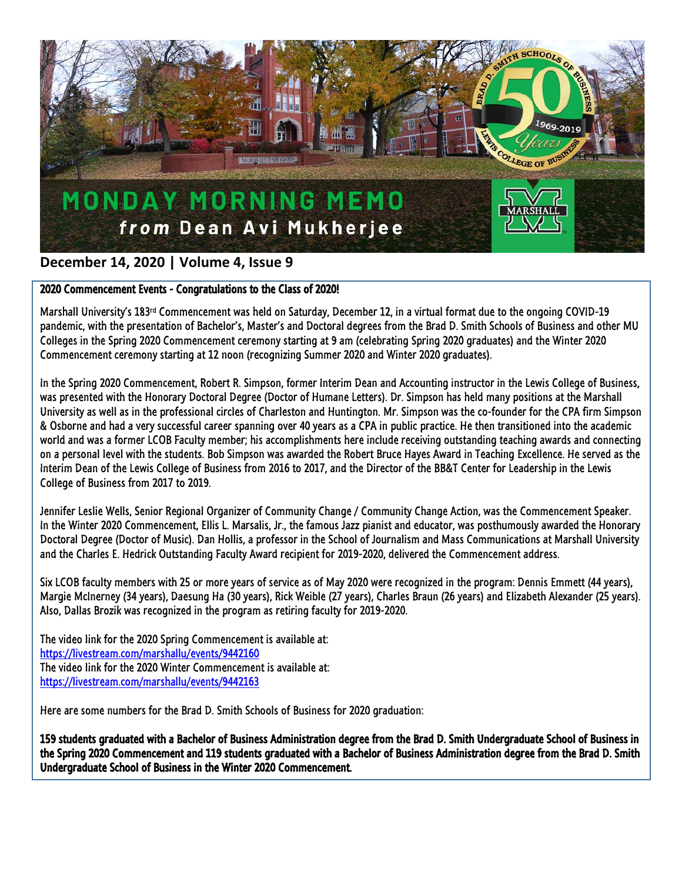

### **December 14, 2020 | Volume 4, Issue 9**

### 2020 Commencement Events - Congratulations to the Class of 2020!

Marshall University's 183rd Commencement was held on Saturday, December 12, in a virtual format due to the ongoing COVID-19 pandemic, with the presentation of Bachelor's, Master's and Doctoral degrees from the Brad D. Smith Schools of Business and other MU Colleges in the Spring 2020 Commencement ceremony starting at 9 am (celebrating Spring 2020 graduates) and the Winter 2020 Commencement ceremony starting at 12 noon (recognizing Summer 2020 and Winter 2020 graduates).

In the Spring 2020 Commencement, Robert R. Simpson, former Interim Dean and Accounting instructor in the Lewis College of Business, was presented with the Honorary Doctoral Degree (Doctor of Humane Letters). Dr. Simpson has held many positions at the Marshall University as well as in the professional circles of Charleston and Huntington. Mr. Simpson was the co-founder for the CPA firm Simpson & Osborne and had a very successful career spanning over 40 years as a CPA in public practice. He then transitioned into the academic world and was a former LCOB Faculty member; his accomplishments here include receiving outstanding teaching awards and connecting on a personal level with the students. Bob Simpson was awarded the Robert Bruce Hayes Award in Teaching Excellence. He served as the Interim Dean of the Lewis College of Business from 2016 to 2017, and the Director of the BB&T Center for Leadership in the Lewis College of Business from 2017 to 2019.

Jennifer Leslie Wells, Senior Regional Organizer of Community Change / Community Change Action, was the Commencement Speaker. In the Winter 2020 Commencement, Ellis L. Marsalis, Jr., the famous Jazz pianist and educator, was posthumously awarded the Honorary Doctoral Degree (Doctor of Music). Dan Hollis, a professor in the School of Journalism and Mass Communications at Marshall University and the Charles E. Hedrick Outstanding Faculty Award recipient for 2019-2020, delivered the Commencement address.

Six LCOB faculty members with 25 or more years of service as of May 2020 were recognized in the program: Dennis Emmett (44 years), Margie McInerney (34 years), Daesung Ha (30 years), Rick Weible (27 years), Charles Braun (26 years) and Elizabeth Alexander (25 years). Also, Dallas Brozik was recognized in the program as retiring faculty for 2019-2020.

The video link for the 2020 Spring Commencement is available at: <https://livestream.com/marshallu/events/9442160> The video link for the 2020 Winter Commencement is available at: <https://livestream.com/marshallu/events/9442163>

Here are some numbers for the Brad D. Smith Schools of Business for 2020 graduation:

159 students graduated with a Bachelor of Business Administration degree from the Brad D. Smith Undergraduate School of Business in the Spring 2020 Commencement and 119 students graduated with a Bachelor of Business Administration degree from the Brad D. Smith Undergraduate School of Business in the Winter 2020 Commencement.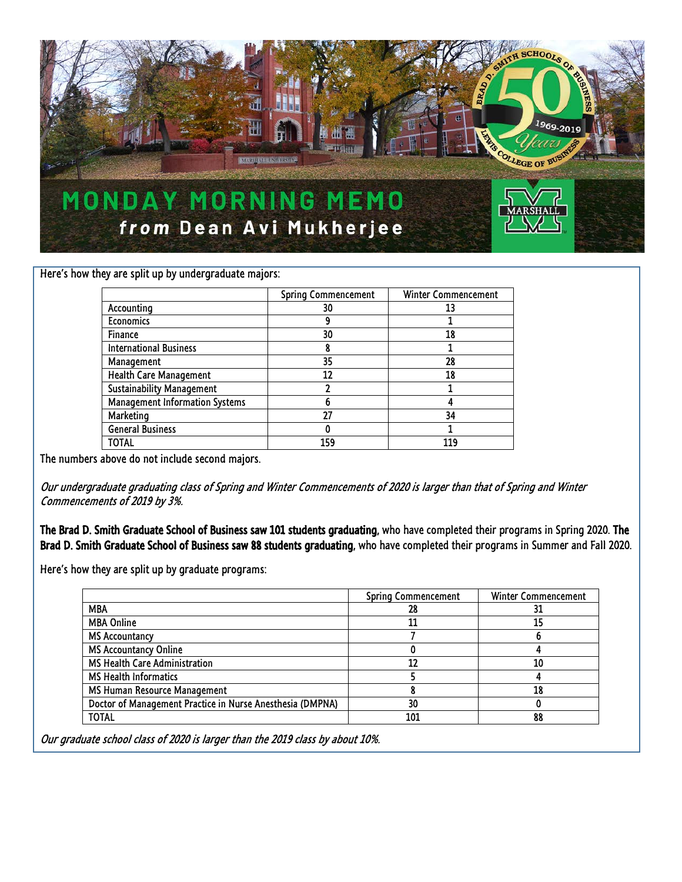

Here's how they are split up by undergraduate majors:

|                                  | <b>Spring Commencement</b> | Winter Commencement |
|----------------------------------|----------------------------|---------------------|
| Accounting                       | 30                         | 13                  |
| <b>Economics</b>                 |                            |                     |
| Finance                          | 30                         | 18                  |
| <b>International Business</b>    |                            |                     |
| Management                       | 35                         | 28                  |
| Health Care Management           | 12                         | 18                  |
| <b>Sustainability Management</b> |                            |                     |
| Management Information Systems   |                            |                     |
| Marketing                        | 27                         | 34                  |
| <b>General Business</b>          | 0                          |                     |
| TOTAL                            | 159                        |                     |

The numbers above do not include second majors.

Our undergraduate graduating class of Spring and Winter Commencements of 2020 is larger than that of Spring and Winter Commencements of 2019 by 3%.

The Brad D. Smith Graduate School of Business saw 101 students graduating, who have completed their programs in Spring 2020. The Brad D. Smith Graduate School of Business saw 88 students graduating, who have completed their programs in Summer and Fall 2020.

Here's how they are split up by graduate programs:

|                                                           | <b>Spring Commencement</b> | Winter Commencement |
|-----------------------------------------------------------|----------------------------|---------------------|
| <b>MBA</b>                                                | 28                         | 31                  |
| <b>MBA Online</b>                                         | 11                         | 15                  |
| <b>MS Accountancy</b>                                     |                            |                     |
| <b>MS Accountancy Online</b>                              |                            |                     |
| MS Health Care Administration                             | 12                         | 10                  |
| <b>MS Health Informatics</b>                              |                            |                     |
| MS Human Resource Management                              |                            | 18                  |
| Doctor of Management Practice in Nurse Anesthesia (DMPNA) | 30                         |                     |
| <b>TOTAL</b>                                              | 101                        | 88                  |

Our graduate school class of 2020 is larger than the 2019 class by about 10%.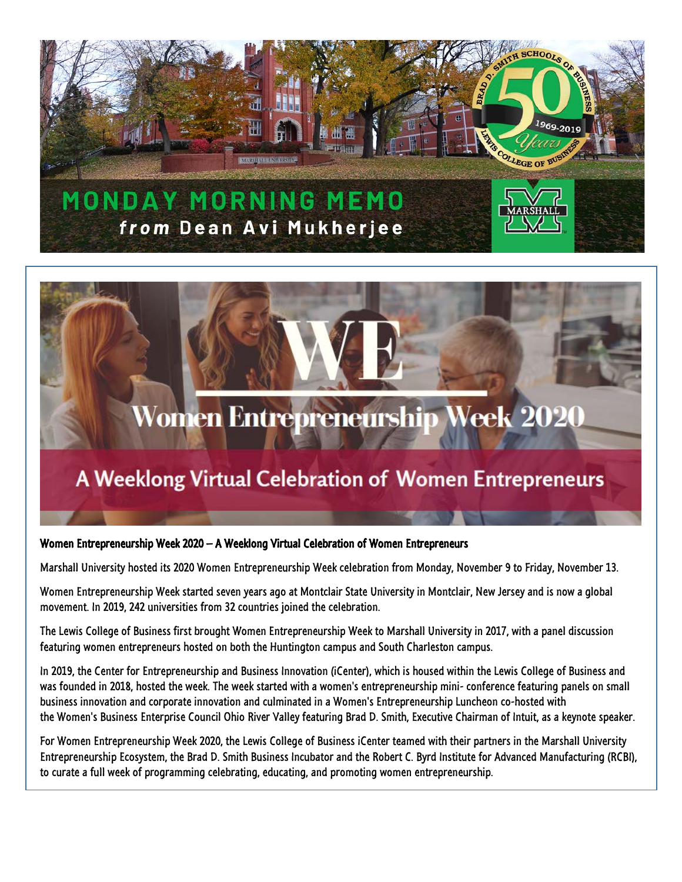

# Women Entrepreneurship Week 2020

## A Weeklong Virtual Celebration of Women Entrepreneurs

#### Women Entrepreneurship Week 2020 – A Weeklong Virtual Celebration of Women Entrepreneurs

Marshall University hosted its 2020 Women Entrepreneurship Week celebration from Monday, November 9 to Friday, November 13.

Women Entrepreneurship Week started seven years ago at Montclair State University in Montclair, New Jersey and is now a global movement. In 2019, 242 universities from 32 countries joined the celebration.

The Lewis College of Business first brought Women Entrepreneurship Week to Marshall University in 2017, with a panel discussion featuring women entrepreneurs hosted on both the Huntington campus and South Charleston campus.

In 2019, the Center for Entrepreneurship and Business Innovation (iCenter), which is housed within the Lewis College of Business and was founded in 2018, hosted the week. The week started with a women's entrepreneurship mini- conference featuring panels on small business innovation and corporate innovation and culminated in a Women's Entrepreneurship Luncheon co-hosted with the Women's Business Enterprise Council Ohio River Valley featuring Brad D. Smith, Executive Chairman of Intuit, as a keynote speaker.

For Women Entrepreneurship Week 2020, the Lewis College of Business iCenter teamed with their partners in the Marshall University Entrepreneurship Ecosystem, the Brad D. Smith Business Incubator and the Robert C. Byrd Institute for Advanced Manufacturing (RCBI), to curate a full week of programming celebrating, educating, and promoting women entrepreneurship.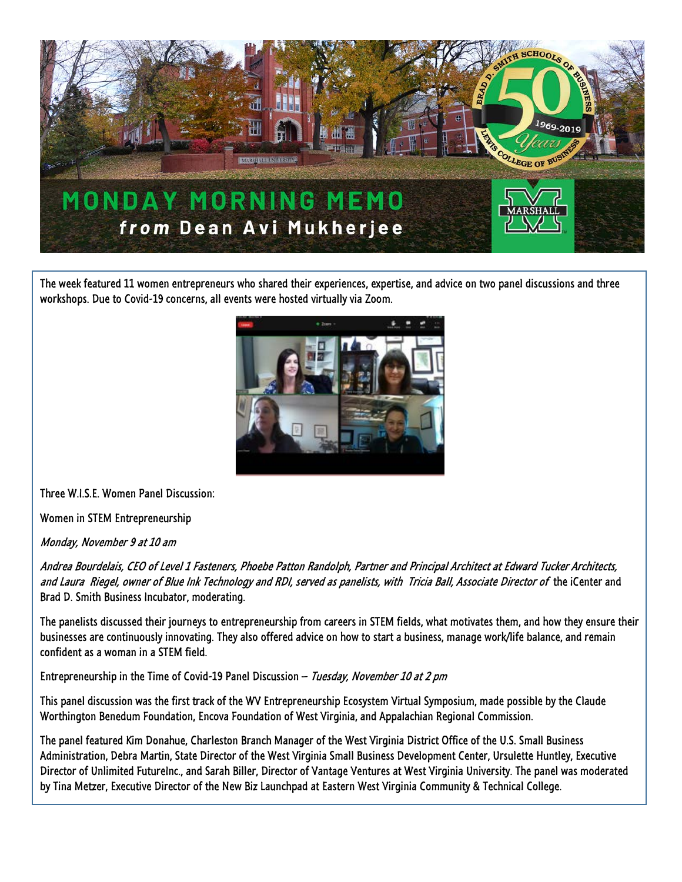

The week featured 11 women entrepreneurs who shared their experiences, expertise, and advice on two panel discussions and three workshops. Due to Covid-19 concerns, all events were hosted virtually via Zoom.



Three W.I.S.E. Women Panel Discussion:

Women in STEM Entrepreneurship

Monday, November 9 at 10 am

Andrea Bourdelais, CEO of Level 1 Fasteners, Phoebe Patton Randolph, Partner and Principal Architect at Edward Tucker Architects, and Laura Riegel, owner of Blue Ink Technology and RDI, served as panelists, with Tricia Ball, Associate Director of the iCenter and Brad D. Smith Business Incubator, moderating.

The panelists discussed their journeys to entrepreneurship from careers in STEM fields, what motivates them, and how they ensure their businesses are continuously innovating. They also offered advice on how to start a business, manage work/life balance, and remain confident as a woman in a STEM field.

Entrepreneurship in the Time of Covid-19 Panel Discussion - Tuesday, November 10 at 2 pm

This panel discussion was the first track of the WV Entrepreneurship Ecosystem Virtual Symposium, made possible by the Claude Worthington Benedum Foundation, Encova Foundation of West Virginia, and Appalachian Regional Commission.

The panel featured Kim Donahue, Charleston Branch Manager of the West Virginia District Office of the U.S. Small Business Administration, Debra Martin, State Director of the West Virginia Small Business Development Center, Ursulette Huntley, Executive Director of Unlimited FutureInc., and Sarah Biller, Director of Vantage Ventures at West Virginia University. The panel was moderated by Tina Metzer, Executive Director of the New Biz Launchpad at Eastern West Virginia Community & Technical College.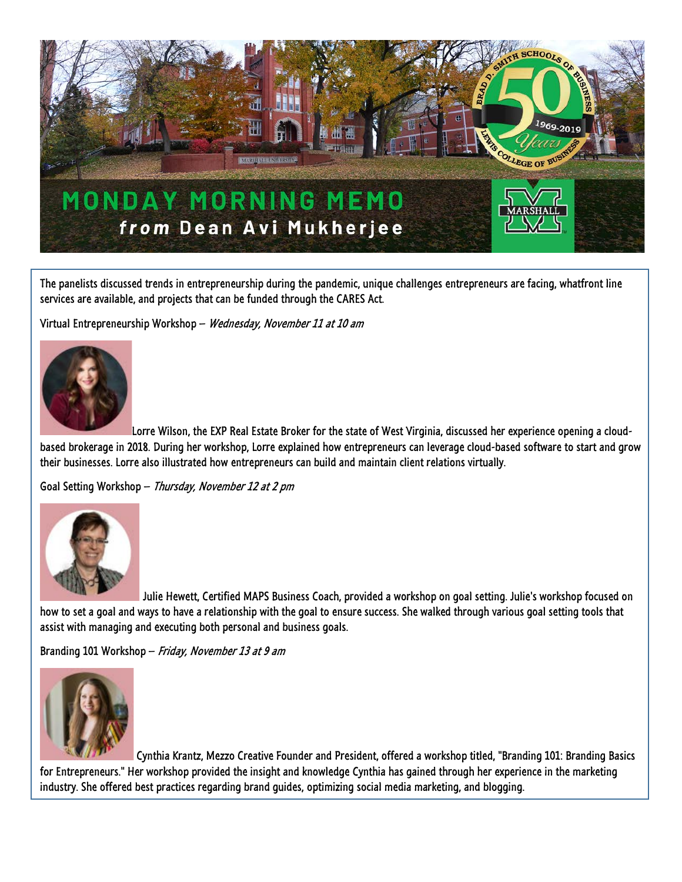

The panelists discussed trends in entrepreneurship during the pandemic, unique challenges entrepreneurs are facing, whatfront line services are available, and projects that can be funded through the CARES Act.

Virtual Entrepreneurship Workshop - Wednesday, November 11 at 10 am



Lorre Wilson, the EXP Real Estate Broker for the state of West Virginia, discussed her experience opening a cloudbased brokerage in 2018. During her workshop, Lorre explained how entrepreneurs can leverage cloud-based software to start and grow their businesses. Lorre also illustrated how entrepreneurs can build and maintain client relations virtually.

Goal Setting Workshop – Thursday, November 12 at 2 pm



Julie Hewett, Certified MAPS Business Coach, provided a workshop on goal setting. Julie's workshop focused on how to set a goal and ways to have a relationship with the goal to ensure success. She walked through various goal setting tools that assist with managing and executing both personal and business goals.

Branding 101 Workshop - Friday, November 13 at 9 am



Cynthia Krantz, Mezzo Creative Founder and President, offered a workshop titled, "Branding 101: Branding Basics for Entrepreneurs." Her workshop provided the insight and knowledge Cynthia has gained through her experience in the marketing industry. She offered best practices regarding brand guides, optimizing social media marketing, and blogging.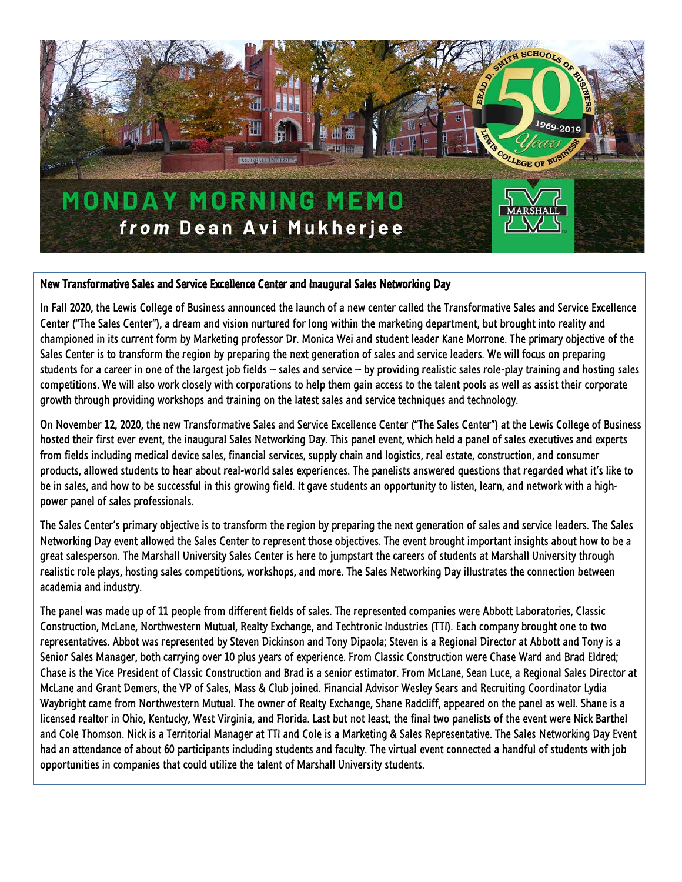

### New Transformative Sales and Service Excellence Center and Inaugural Sales Networking Day

In Fall 2020, the Lewis College of Business announced the launch of a new center called the Transformative Sales and Service Excellence Center ("The Sales Center"), a dream and vision nurtured for long within the marketing department, but brought into reality and championed in its current form by Marketing professor Dr. Monica Wei and student leader Kane Morrone. The primary objective of the Sales Center is to transform the region by preparing the next generation of sales and service leaders. We will focus on preparing students for a career in one of the largest job fields – sales and service – by providing realistic sales role-play training and hosting sales competitions. We will also work closely with corporations to help them gain access to the talent pools as well as assist their corporate growth through providing workshops and training on the latest sales and service techniques and technology.

On November 12, 2020, the new Transformative Sales and Service Excellence Center ("The Sales Center") at the Lewis College of Business hosted their first ever event, the inaugural Sales Networking Day. This panel event, which held a panel of sales executives and experts from fields including medical device sales, financial services, supply chain and logistics, real estate, construction, and consumer products, allowed students to hear about real-world sales experiences. The panelists answered questions that regarded what it's like to be in sales, and how to be successful in this growing field. It gave students an opportunity to listen, learn, and network with a highpower panel of sales professionals.

The Sales Center's primary objective is to transform the region by preparing the next generation of sales and service leaders. The Sales Networking Day event allowed the Sales Center to represent those objectives. The event brought important insights about how to be a great salesperson. The Marshall University Sales Center is here to jumpstart the careers of students at Marshall University through realistic role plays, hosting sales competitions, workshops, and more. The Sales Networking Day illustrates the connection between academia and industry.

The panel was made up of 11 people from different fields of sales. The represented companies were Abbott Laboratories, Classic Construction, McLane, Northwestern Mutual, Realty Exchange, and Techtronic Industries (TTI). Each company brought one to two representatives. Abbot was represented by Steven Dickinson and Tony Dipaola; Steven is a Regional Director at Abbott and Tony is a Senior Sales Manager, both carrying over 10 plus years of experience. From Classic Construction were Chase Ward and Brad Eldred; Chase is the Vice President of Classic Construction and Brad is a senior estimator. From McLane, Sean Luce, a Regional Sales Director at McLane and Grant Demers, the VP of Sales, Mass & Club joined. Financial Advisor Wesley Sears and Recruiting Coordinator Lydia Waybright came from Northwestern Mutual. The owner of Realty Exchange, Shane Radcliff, appeared on the panel as well. Shane is a licensed realtor in Ohio, Kentucky, West Virginia, and Florida. Last but not least, the final two panelists of the event were Nick Barthel and Cole Thomson. Nick is a Territorial Manager at TTI and Cole is a Marketing & Sales Representative. The Sales Networking Day Event had an attendance of about 60 participants including students and faculty. The virtual event connected a handful of students with job opportunities in companies that could utilize the talent of Marshall University students.